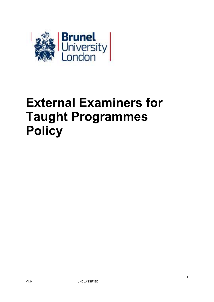

# **External Examiners for Taught Programmes Policy**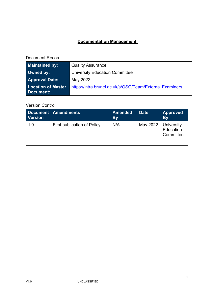## **Documentation Management**

#### Document Record

| <b>Maintained by:</b>                  | <b>Quality Assurance</b>                                 |
|----------------------------------------|----------------------------------------------------------|
| Owned by:                              | <b>University Education Committee</b>                    |
| <b>Approval Date:</b>                  | May 2022                                                 |
| <b>Location of Master</b><br>Document: | https://intra.brunel.ac.uk/s/QSO/Team/External Examiners |

## Version Control

| <b>Version</b> | Document Amendments          | <b>Amended</b><br><b>By</b> | <b>Date</b> | <b>Approved</b><br><b>By</b>         |
|----------------|------------------------------|-----------------------------|-------------|--------------------------------------|
| 1.0            | First publication of Policy. | N/A                         | May 2022    | University<br>Education<br>Committee |
|                |                              |                             |             |                                      |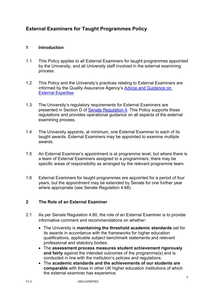## **External Examiners for Taught Programmes Policy**

#### **1 Introduction**

- 1.1 This Policy applies to all External Examiners for taught programmes appointed by the University, and all University staff involved in the external examining process.
- 1.2 This Policy and the University's practices relating to External Examiners are informed by the Quality Assurance Agency's [Advice and Guidance on](https://www.qaa.ac.uk/en/quality-code/advice-and-guidance)  [External Expertise.](https://www.qaa.ac.uk/en/quality-code/advice-and-guidance)
- 1.3 The University's regulatory requirements for External Examiners are presented in Section D of [Senate Regulation 4.](https://www.brunel.ac.uk/about/administration/governance-and-university-committees/senate-regulations) This Policy supports those regulations and provides operational guidance on all aspects of the external examining process.
- 1.4 The University appoints, at minimum, one External Examiner to each of its taught awards. External Examiners may be appointed to examine multiple awards.
- 1.5 An External Examiner's appointment is at programme level, but where there is a team of External Examiners assigned to a programme/s, there may be specific areas of responsibility as arranged by the relevant programme team.
- 1.6 External Examiners for taught programmes are appointed for a period of four years, but the appointment may be extended by Senate for one further year where appropriate (see Senate Regulation 4.68).

#### **2 The Role of an External Examiner**

- 2.1 As per Senate Regulation 4.80, the role of an External Examiner is to provide informative comment and recommendations on whether:
	- The University is **maintaining the threshold academic standards** set for its awards in accordance with the frameworks for higher education qualifications, applicable subject benchmark statements and relevant professional and statutory bodies.
	- The **assessment process measures student achievement rigorously and fairly** against the intended outcomes of the programme(s) and is conducted in line with the institution's policies and regulations.
	- The **academic standards and the achievements of our students are comparable** with those in other UK higher education institutions of which the external examiner has experience.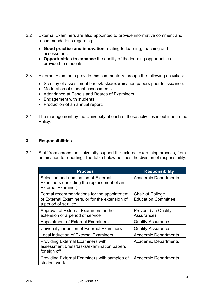- 2.2 External Examiners are also appointed to provide informative comment and recommendations regarding:
	- **Good practice and innovation** relating to learning, teaching and assessment.
	- **Opportunities to enhance** the quality of the learning opportunities provided to students.
- 2.3 External Examiners provide this commentary through the following activities:
	- Scrutiny of assessment briefs/tasks/examination papers prior to issuance.
	- Moderation of student assessments.
	- Attendance at Panels and Boards of Examiners.
	- Engagement with students.
	- Production of an annual report.
- 2.4 The management by the University of each of these activities is outlined in the Policy.

## **3 Responsibilities**

3.1 Staff from across the University support the external examining process, from nomination to reporting. The table below outlines the division of responsibility.

| <b>Process</b>                                                                                                      | <b>Responsibility</b>                                 |  |
|---------------------------------------------------------------------------------------------------------------------|-------------------------------------------------------|--|
| Selection and nomination of External<br>Examiners (including the replacement of an<br><b>External Examiner)</b>     | Academic Departments                                  |  |
| Formal recommendations for the appointment<br>of External Examiners, or for the extension of<br>a period of service | <b>Chair of College</b><br><b>Education Committee</b> |  |
| Approval of External Examiners or the<br>extension of a period of service                                           | <b>Provost (via Quality</b><br>Assurance)             |  |
| <b>Appointment of External Examiners</b>                                                                            | <b>Quality Assurance</b>                              |  |
| University induction of External Examiners                                                                          | <b>Quality Assurance</b>                              |  |
| <b>Local induction of External Examiners</b>                                                                        | <b>Academic Departments</b>                           |  |
| <b>Providing External Examiners with</b><br>assessment briefs/tasks/examination papers<br>for sign off              | <b>Academic Departments</b>                           |  |
| Providing External Examiners with samples of<br>student work                                                        | <b>Academic Departments</b>                           |  |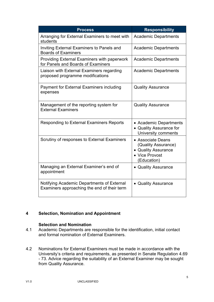| <b>Process</b>                                                                            | <b>Responsibility</b>                                                                            |  |
|-------------------------------------------------------------------------------------------|--------------------------------------------------------------------------------------------------|--|
| Arranging for External Examiners to meet with<br>students                                 | <b>Academic Departments</b>                                                                      |  |
| Inviting External Examiners to Panels and<br><b>Boards of Examiners</b>                   | <b>Academic Departments</b>                                                                      |  |
| Providing External Examiners with paperwork<br>for Panels and Boards of Examiners         | <b>Academic Departments</b>                                                                      |  |
| Liaison with External Examiners regarding<br>proposed programme modifications             | <b>Academic Departments</b>                                                                      |  |
| <b>Payment for External Examiners including</b><br>expenses                               | <b>Quality Assurance</b>                                                                         |  |
| Management of the reporting system for<br><b>External Examiners</b>                       | <b>Quality Assurance</b>                                                                         |  |
| <b>Responding to External Examiners Reports</b>                                           | • Academic Departments<br>• Quality Assurance for<br>University comments                         |  |
| Scrutiny of responses to External Examiners                                               | • Associate Deans<br>(Quality Assurance)<br>• Quality Assurance<br>• Vice Provost<br>(Education) |  |
| Managing an External Examiner's end of<br>appointment                                     | • Quality Assurance                                                                              |  |
| Notifying Academic Departments of External<br>Examiners approaching the end of their term | • Quality Assurance                                                                              |  |

## **4 Selection, Nomination and Appointment**

#### **Selection and Nomination**

- 4.1 Academic Departments are responsible for the identification, initial contact and formal nomination of External Examiners.
- 4.2 Nominations for External Examiners must be made in accordance with the University's criteria and requirements, as presented in Senate Regulation 4.69 - 73. Advice regarding the suitability of an External Examiner may be sought from Quality Assurance.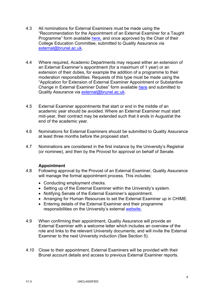- 4.3 All nominations for External Examiners must be made using the "Recommendation for the Appointment of an External Examiner for a Taught Programme" form available [here,](https://www.brunel.ac.uk/about/quality-assurance/external-examiners) and once approved by the Chair of their College Education Committee, submitted to Quality Assurance via [external@brunel.ac.uk.](mailto:external@brunel.ac.uk)
- 4.4 Where required, Academic Departments may request either an extension of an External Examiner's appointment (for a maximum of 1 year) or an extension of their duties, for example the addition of a programme to their moderation responsibilities. Requests of this type must be made using the "Application for Extension of External Examiner Appointment or Substantive Change in External Examiner Duties" form available [here](https://www.brunel.ac.uk/about/quality-assurance/external-examiners) and submitted to Quality Assurance via [external@brunel.ac.uk.](mailto:external@brunel.ac.uk)
- 4.5 External Examiner appointments that start or end in the middle of an academic year should be avoided. Where an External Examiner must start mid-year, their contract may be extended such that it ends in August/at the end of the academic year.
- 4.6 Nominations for External Examiners should be submitted to Quality Assurance at least three months before the proposed start.
- 4.7 Nominations are considered in the first instance by the University's Registrar (or nominee), and then by the Provost for approval on behalf of Senate.

#### **Appointment**

- 4.8 Following approval by the Provost of an External Examiner, Quality Assurance will manage the formal appointment process. This includes:
	- Conducting employment checks.
	- Setting up of the External Examiner within the University's system.
	- Notifying Senate of the External Examiner's appointment.
	- Arranging for Human Resources to set the External Examiner up in CHIME.
	- Entering details of the External Examiner and their programme responsibilities on the University's external [website.](https://www.brunel.ac.uk/about/quality-assurance/external-examiners)
- 4.9 When confirming their appointment, Quality Assurance will provide an External Examiner with a welcome letter which includes an overview of the role and links to the relevant University documents; and will invite the External Examiner to the next University induction (See Section 5).
- 4.10 Close to their appointment, External Examiners will be provided with their Brunel account details and access to previous External Examiner reports.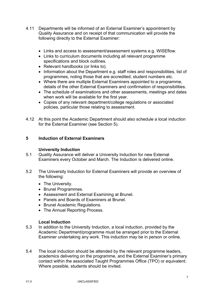- 4.11 Departments will be informed of an External Examiner's appointment by Quality Assurance and on receipt of that communication will provide the following directly to the External Examiner:
	- Links and access to assessment/assessment systems e.g. WISEflow.
	- Links to curriculum documents including all relevant programme specifications and block outlines.
	- Relevant handbooks (or links to).
	- Information about the Department e.g. staff roles and responsibilities, list of programmes, noting those that are accredited, student numbers etc.
	- Where there are multiple External Examiners appointed to a programme, details of the other External Examiners and confirmation of responsibilities.
	- The schedule of examinations and other assessments, meetings and dates when work will be available for the first year.
	- Copies of any relevant department/college regulations or associated policies, particular those relating to assessment.
- 4.12 At this point the Academic Department should also schedule a local induction for the External Examiner (see Section 5).

#### **5 Induction of External Examiners**

#### **University Induction**

- 5.1 Quality Assurance will deliver a University Induction for new External Examiners every October and March. The Induction is delivered online.
- 5.2 The University Induction for External Examiners will provide an overview of the following:
	- The University.
	- Brunel Programmes.
	- Assessment and External Examining at Brunel.
	- Panels and Boards of Examiners at Brunel.
	- Brunel Academic Regulations.
	- The Annual Reporting Process.

#### **Local Induction**

- 5.3 In addition to the University Induction, a local induction, provided by the Academic Department/programme must be arranged prior to the External Examiner undertaking any work. This induction may be in person or online.
- 5.4 The local induction should be attended by the relevant programme leaders, academics delivering on the programme, and the External Examiner's primary contact within the associated Taught Programmes Office (TPO) or equivalent. Where possible, students should be invited.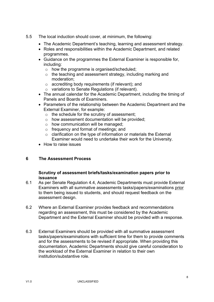- 5.5 The local induction should cover, at minimum, the following:
	- The Academic Department's teaching, learning and assessment strategy.
	- Roles and responsibilities within the Academic Department, and related programmes.
	- Guidance on the programmes the External Examiner is responsible for, including:
		- o how the programme is organised/scheduled;
		- o the teaching and assessment strategy, including marking and moderation;
		- o accrediting body requirements (if relevant); and
		- o variations to Senate Regulations (if relevant).
	- The annual calendar for the Academic Department, including the timing of Panels and Boards of Examiners.
	- Parameters of the relationship between the Academic Department and the External Examiner, for example:
		- $\circ$  the schedule for the scrutiny of assessment;
		- o how assessment documentation will be provided;
		- $\circ$  how communication will be managed;
		- o frequency and format of meetings; and
		- o clarification on the type of information or materials the External Examiner would need to undertake their work for the University.
	- How to raise issues

## **6 The Assessment Process**

#### **Scrutiny of assessment briefs/tasks/examination papers prior to issuance**

- 6.1 As per Senate Regulation 4.4, Academic Departments must provide External Examiners with all summative assessments tasks/papers/examinations prior to them being issued to students, and should request feedback on the assessment design.
- 6.2 Where an External Examiner provides feedback and recommendations regarding an assessment, this must be considered by the Academic Department and the External Examiner should be provided with a response.
- 6.3 External Examiners should be provided with all summative assessment tasks/papers/examinations with sufficient time for them to provide comments and for the assessments to be revised if appropriate. When providing this documentation, Academic Departments should give careful consideration to the workload of the External Examiner in relation to their own institution/substantive role.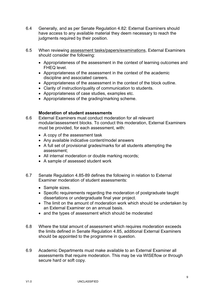- 6.4 Generally, and as per Senate Regulation 4.82: External Examiners should have access to any available material they deem necessary to reach the judgments required by their position.
- 6.5 When reviewing assessment tasks/papers/examinations, External Examiners should consider the following:
	- Appropriateness of the assessment in the context of learning outcomes and FHEQ level.
	- Appropriateness of the assessment in the context of the academic discipline and associated careers.
	- Appropriateness of the assessment in the context of the block outline.
	- Clarity of instruction/quality of communication to students.
	- Appropriateness of case studies, examples etc.
	- Appropriateness of the grading/marking scheme.

#### **Moderation of student assessments**

- 6.6 External Examiners must conduct moderation for all relevant modular/assessment blocks. To conduct this moderation, External Examiners must be provided, for each assessment, with:
	- A copy of the assessment task
	- Any available indicative content/model answers
	- A full set of provisional grades/marks for all students attempting the assessment;
	- All internal moderation or double marking records;
	- A sample of assessed student work
- 6.7 Senate Regulation 4.85-89 defines the following in relation to External Examiner moderation of student assessments:
	- Sample sizes.
	- Specific requirements regarding the moderation of postgraduate taught dissertations or undergraduate final year project.
	- The limit on the amount of moderation work which should be undertaken by an External Examiner on an annual basis.
	- and the types of assessment which should be moderated
- 6.8 Where the total amount of assessment which requires moderation exceeds the limits defined in Senate Regulation 4.85, additional External Examiners should be appointed to the programme in question.
- 6.9 Academic Departments must make available to an External Examiner all assessments that require moderation. This may be via WISEflow or through secure hard or soft copy.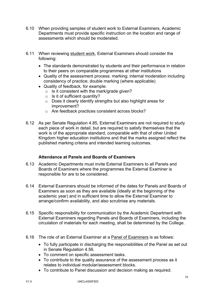- 6.10 When providing samples of student work to External Examiners, Academic Departments must provide specific instruction on the location and range of assessments which should be moderated.
- 6.11 When reviewing student work, External Examiners should consider the following:
	- The standards demonstrated by students and their performance in relation to their peers on comparable programmes at other institutions
	- Quality of the assessment process: marking; internal moderation including consistency of practice; double marking (where applicable)
	- Quality of feedback, for example:
		- o Is it consistent with the mark/grade given?
		- $\circ$  Is it of sufficient quantity?
		- o Does it clearly identify strengths but also highlight areas for improvement?
		- o Are feedback practices consistent across blocks?
- 6.12 As per Senate Regulation 4.85, External Examiners are not required to study each piece of work in detail, but are required to satisfy themselves that the work is of the appropriate standard, comparable with that of other United Kingdom higher education institutions and that the marks assigned reflect the published marking criteria and intended learning outcomes.

#### **Attendance at Panels and Boards of Examiners**

- 6.13 Academic Departments must invite External Examiners to all Panels and Boards of Examiners where the programmes the External Examiner is responsible for are to be considered.
- 6.14 External Examiners should be informed of the dates for Panels and Boards of Examiners as soon as they are available (ideally at the beginning of the academic year) and in sufficient time to allow the External Examiner to arrange/confirm availability, and also scrutinise any materials.
- 6.15 Specific responsibility for communication by the Academic Department with External Examiners regarding Panels and Boards of Examiners, including the circulation of materials for each meeting, shall be determined by the College.
- 6.16 The role of an External Examiner at a Panel of Examiners is as follows:
	- To fully participate in discharging the responsibilities of the Panel as set out in Senate Regulation 4.56.
	- To comment on specific assessment tasks.
	- To contribute to the quality assurance of the assessment process as it relates to individual modular/assessment blocks.
	- To contribute to Panel discussion and decision making as required.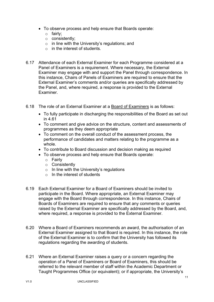- To observe process and help ensure that Boards operate:
	- o fairly;
	- o consistently;
	- o in line with the University's regulations; and
	- $\circ$  in the interest of students.
- 6.17 Attendance of each External Examiner for each Programme considered at a Panel of Examiners is a requirement. Where necessary, the External Examiner may engage with and support the Panel through correspondence. In this instance, Chairs of Panels of Examiners are required to ensure that the External Examiner's comments and/or queries are specifically addressed by the Panel, and, where required, a response is provided to the External Examiner.
- 6.18 The role of an External Examiner at a Board of Examiners is as follows:
	- To fully participate in discharging the responsibilities of the Board as set out in 4.61
	- To comment and give advice on the structure, content and assessments of programmes as they deem appropriate
	- To comment on the overall conduct of the assessment process, the performance of candidates and matters relating to the programme as a whole.
	- To contribute to Board discussion and decision making as required
	- To observe process and help ensure that Boards operate:
		- o Fairly
		- o Consistently
		- $\circ$  In line with the University's regulations
		- $\circ$  In the interest of students
- 6.19 Each External Examiner for a Board of Examiners should be invited to participate in the Board. Where appropriate, an External Examiner may engage with the Board through correspondence. In this instance, Chairs of Boards of Examiners are required to ensure that any comments or queries raised by the External Examiner are specifically addressed by the Board, and, where required, a response is provided to the External Examiner.
- 6.20 Where a Board of Examiners recommends an award, the authorisation of an External Examiner assigned to that Board is required. In this instance, the role of the External Examiner is to confirm that the University has followed its regulations regarding the awarding of students.
- 6.21 Where an External Examiner raises a query or a concern regarding the operation of a Panel of Examiners or Board of Examiners, this should be referred to the relevant member of staff within the Academic Department or Taught Programmes Office (or equivalent); or if appropriate, the University's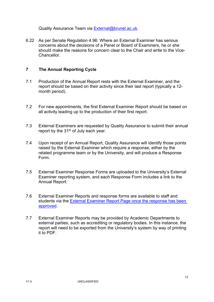Quality Assurance Team via [External@brunel.ac.uk.](mailto:External@brunel.ac.uk)

6.22 As per Senate Regulation 4.96: Where an External Examiner has serious concerns about the decisions of a Panel or Board of Examiners, he or she should make the reasons for concern clear to the Chair and write to the Vice-**Chancellor** 

## **7 The Annual Reporting Cycle**

- 7.1 Production of the Annual Report rests with the External Examiner, and the report should be based on their activity since their last report (typically a 12 month period).
- 7.2 For new appointments, the first External Examiner Report should be based on all activity leading up to the production of their first report.
- 7.3 External Examiners are requested by Quality Assurance to submit their annual report by the  $31<sup>st</sup>$  of July each year.
- 7.4 Upon receipt of an Annual Report, Quality Assurance will identify those points raised by the External Examiner which require a response, either by the related programme team or by the University, and will produce a Response Form.
- 7.5 External Examiner Response Forms are uploaded to the University's External Examiner reporting system, and each Response Form includes a link to the Annual Report.
- 7.6 External Examiner Reports and response forms are available to staff and students via the **External Examiner Report Page once the response has been** approved.
- 7.7 External Examiner Reports may be provided by Academic Departments to external parties, such as accrediting or regulatory bodies. In this instance, the report will need to be exported from the University's system by way of printing it to PDF.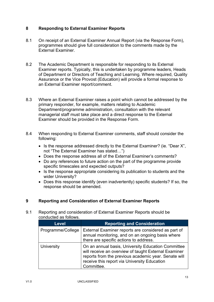#### **8 Responding to External Examiner Reports**

- 8.1 On receipt of an External Examiner Annual Report (via the Response Form), programmes should give full consideration to the comments made by the External Examiner.
- 8.2 The Academic Department is responsible for responding to its External Examiner reports. Typically, this is undertaken by programme leaders, Heads of Department or Directors of Teaching and Learning. Where required, Quality Assurance or the Vice Provost (Education) will provide a formal response to an External Examiner report/comment.
- 8.3 Where an External Examiner raises a point which cannot be addressed by the primary responder, for example, matters relating to Academic Department/programme administration, consultation with the relevant managerial staff must take place and a direct response to the External Examiner should be provided in the Response Form.
- 8.4 When responding to External Examiner comments, staff should consider the following:
	- Is the response addressed directly to the External Examiner? (ie. "Dear X", not "The External Examiner has stated…")
	- Does the response address all of the External Examiner's comments?
	- Do any references to future action on the part of the programme provide specific timescales and expected outputs?
	- Is the response appropriate considering its publication to students and the wider University?
	- Does this response identify (even inadvertently) specific students? If so, the response should be amended.

## **9 Reporting and Consideration of External Examiner Reports**

9.1 Reporting and consideration of External Examiner Reports should be conducted as follows.

| <b>Level</b>      | <b>Reporting and Consideration</b>                                                                                                                                                                                               |
|-------------------|----------------------------------------------------------------------------------------------------------------------------------------------------------------------------------------------------------------------------------|
| Programme/College | External Examiner reports are considered as part of<br>annual monitoring, and on an ongoing basis where<br>there are specific actions to address.                                                                                |
| University        | On an annual basis, University Education Committee<br>will receive an overview of taught External Examiner<br>reports from the previous academic year. Senate will<br>receive this report via University Education<br>Committee. |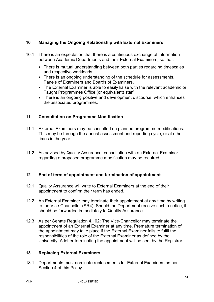## **10 Managing the Ongoing Relationship with External Examiners**

- 10.1 There is an expectation that there is a continuous exchange of information between Academic Departments and their External Examiners, so that:
	- There is mutual understanding between both parties regarding timescales and respective workloads.
	- There is an ongoing understanding of the schedule for assessments, Panels of Examiners and Boards of Examiners.
	- The External Examiner is able to easily liaise with the relevant academic or Taught Programmes Office (or equivalent) staff
	- There is an ongoing positive and development discourse, which enhances the associated programmes.

## **11 Consultation on Programme Modification**

- 11.1 External Examiners may be consulted on planned programme modifications. This may be through the annual assessment and reporting cycle, or at other times in the year.
- 11.2 As advised by Quality Assurance, consultation with an External Examiner regarding a proposed programme modification may be required.

## **12 End of term of appointment and termination of appointment**

- 12.1 Quality Assurance will write to External Examiners at the end of their appointment to confirm their term has ended.
- 12.2 An External Examiner may terminate their appointment at any time by writing to the Vice-Chancellor (SR4). Should the Department receive such a notice, it should be forwarded immediately to Quality Assurance.
- 12.3 As per Senate Regulation 4.102: The Vice-Chancellor may terminate the appointment of an External Examiner at any time. Premature termination of the appointment may take place if the External Examiner fails to fulfil the responsibilities of the role of the External Examiner as defined by the University. A letter terminating the appointment will be sent by the Registrar.

#### **13 Replacing External Examiners**

13.1 Departments must nominate replacements for External Examiners as per Section 4 of this Policy.